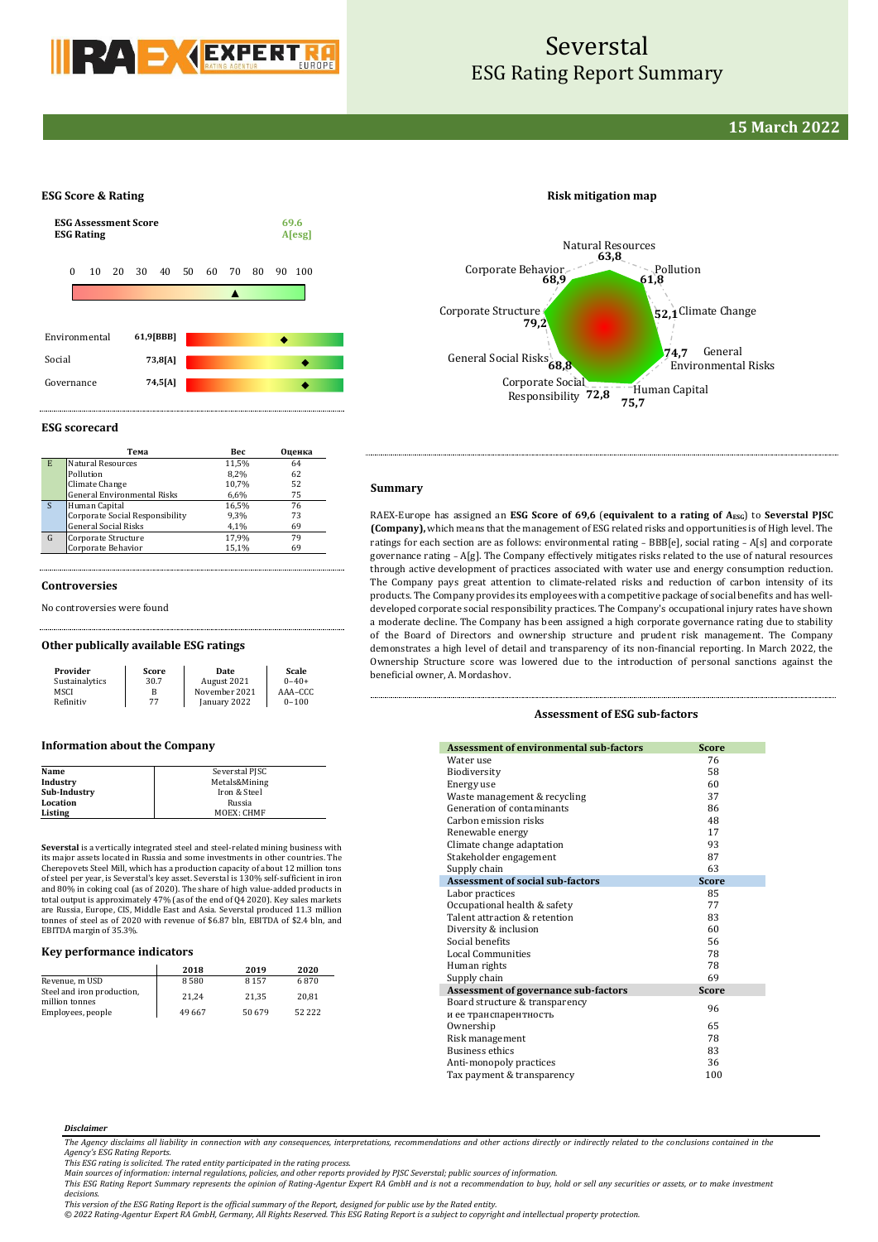

# Severstal ESG Rating Report Summary

# **15 March 2022**

### **ESG Score & Rating**



**ESG scorecard**

|   | Тема                               | Bec   | Оценка |
|---|------------------------------------|-------|--------|
| E | <b>Natural Resources</b>           | 11,5% | 64     |
|   | Pollution                          | 8.2%  | 62     |
|   | Climate Change                     | 10,7% | 52     |
|   | <b>General Environmental Risks</b> | 6,6%  | 75     |
| S | Human Capital                      | 16.5% | 76     |
|   | Corporate Social Responsibility    | 9,3%  | 73     |
|   | <b>General Social Risks</b>        | 4,1%  | 69     |
| G | Corporate Structure                | 17,9% | 79     |
|   | Corporate Behavior                 | 15,1% | 69     |

#### **Controversies**

No controversies were found

#### **Other publically available ESG ratings**

| Provider       | Score | <b>Date</b>   | Scale      |
|----------------|-------|---------------|------------|
| Sustainalytics | 30.7  | August 2021   | $0 - 40 +$ |
| MSCI           | В     | November 2021 | AAA-CCC    |
| Refinitiv      | 77    | January 2022  | $0 - 100$  |

#### **Information about the Company**

| Severstal PJSC |
|----------------|
| Metals&Mining  |
| Iron & Steel   |
| Russia         |
| MOEX: CHMF     |
|                |

**Severstal** is a vertically integrated steel and steel-related mining business with its major assets located in Russia and some investments in other countries. The Cherepovets Steel Mill, which has a production capacity of about 12 million tons of steel per year, is Severstal's key asset. Severstal is 130% self-sufficient in iron and 80% in coking coal (as of 2020). The share of high value-added products in total output is approximately 47% (as of the end of Q4 2020). Key sales markets are Russia, Europe, CIS, Middle East and Asia. Severstal produced 11.3 million tonnes of steel as of 2020 with revenue of \$6.87 bln, EBITDA of \$2.4 bln, and EBITDA margin of 35.3%

## **Key performance indicators**

|                                              | 2018   | 2019   | 2020       |
|----------------------------------------------|--------|--------|------------|
| Revenue, m USD                               | 8580   | 8157   | 6870       |
| Steel and iron production,<br>million tonnes | 21.24  | 21.35  | 20.81      |
| Employees, people                            | 49 667 | 50 679 | 52 2 2 2 2 |

## **Risk mitigation map**



## **Summary**

RAEX-Europe has assigned an **ESG Score of 69,6** (**equivalent to a rating of AESG**) to **Severstal PJSC (Company),** which means that the management of ESG related risks and opportunities is of High level. The ratings for each section are as follows: environmental rating – BBB[e], social rating – A[s] and corporate governance rating – A[g]. The Company effectively mitigates risks related to the use of natural resources through active development of practices associated with water use and energy consumption reduction. The Company pays great attention to climate-related risks and reduction of carbon intensity of its products. The Company provides its employees with a competitive package of social benefits and has welldeveloped corporate social responsibility practices. The Company's occupational injury rates have shown a moderate decline. The Company has been assigned a high corporate governance rating due to stability of the Board of Directors and ownership structure and prudent risk management. The Company demonstrates a high level of detail and transparency of its non-financial reporting. In March 2022, the Ownership Structure score was lowered due to the introduction of personal sanctions against the beneficial owner, A. Mordashov.

### **Assessment of ESG sub-factors**

| <b>Assessment of environmental sub-factors</b> | <b>Score</b> |
|------------------------------------------------|--------------|
| Water use                                      | 76           |
| Biodiversity                                   | 58           |
| Energy use                                     | 60           |
| Waste management & recycling                   | 37           |
| Generation of contaminants                     | 86           |
| Carbon emission risks                          | 48           |
| Renewable energy                               | 17           |
| Climate change adaptation                      | 93           |
| Stakeholder engagement                         | 87           |
| Supply chain                                   | 63           |
| <b>Assessment of social sub-factors</b>        | <b>Score</b> |
| Labor practices                                | 85           |
| Occupational health & safety                   | 77           |
| Talent attraction & retention                  | 83           |
| Diversity & inclusion                          | 60           |
| Social benefits                                | 56           |
| <b>Local Communities</b>                       | 78           |
| Human rights                                   | 78           |
| Supply chain                                   | 69           |
| Assessment of governance sub-factors           | <b>Score</b> |
| Board structure & transparency                 | 96           |
| и ее транспарентность                          |              |
| Ownership                                      | 65           |
| Risk management                                | 78           |
| <b>Business ethics</b>                         | 83           |
| Anti-monopoly practices                        | 36           |
| Tax payment & transparency                     | 100          |

#### *Disclaimer*

*The Agency disclaims all liability in connection with any consequences, interpretations, recommendations and other actions directly or indirectly related to the conclusions contained in the Agency's ESG Rating Reports.*

*This ESG rating is solicited. The rated entity participated in the rating process.* 

Main sources of information: internal regulations, policies, and other reports provided by PJSC Severstal; public sources of information.<br>This ESG Rating Report Summary represents the opinion of Rating-Agentur Expert RA Gm *decisions.*

*This version of the ESG Rating Report is the official summary of the Report, designed for public use by the Rated entity.*

*© 2022 Rating-Agentur Expert RA GmbH, Germany, All Rights Reserved. This ESG Rating Report is a subject to copyright and intellectual property protection.*